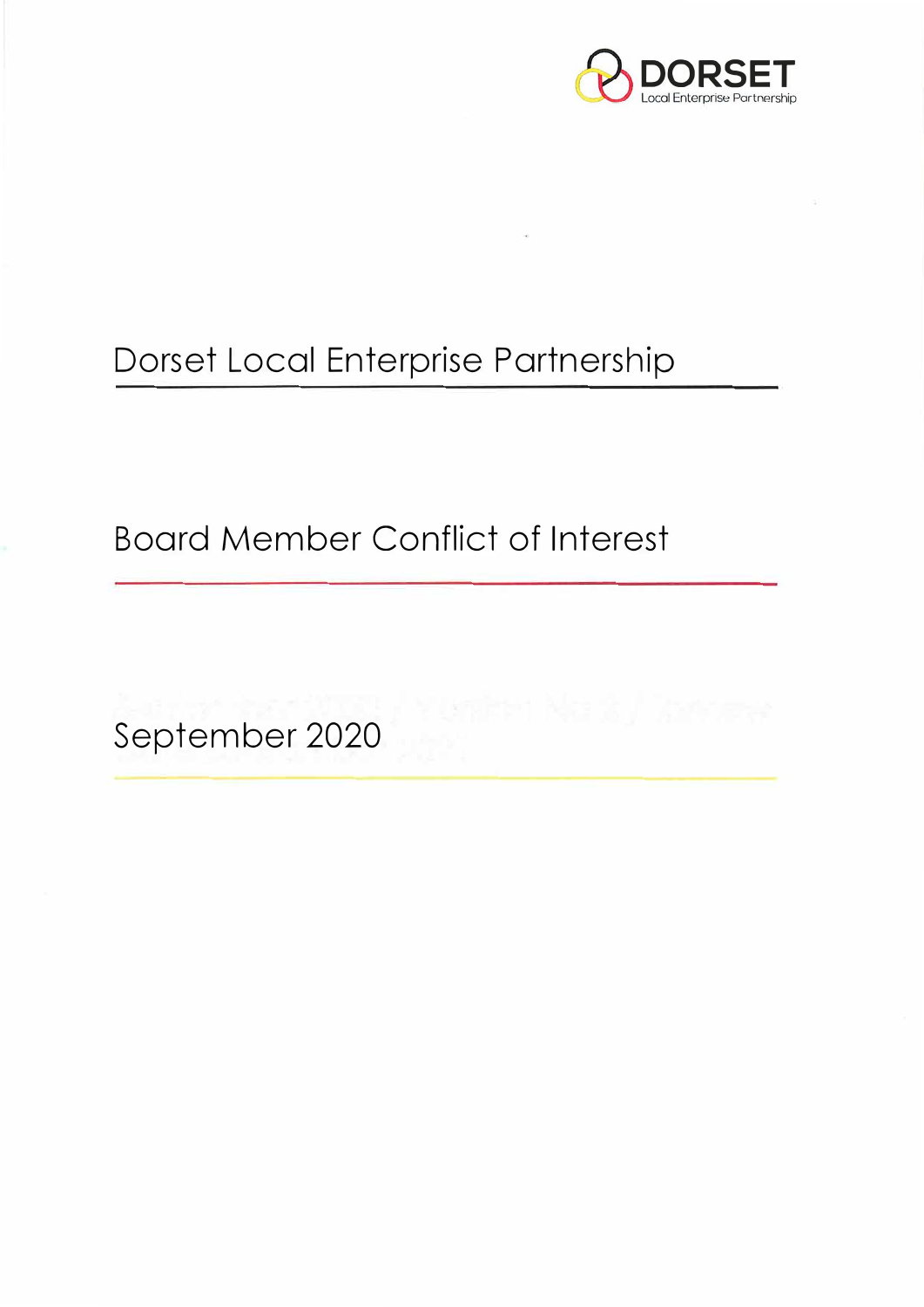

# Dorset Local Enterprise Partnership

Board Member Conflict of Interest

September 2020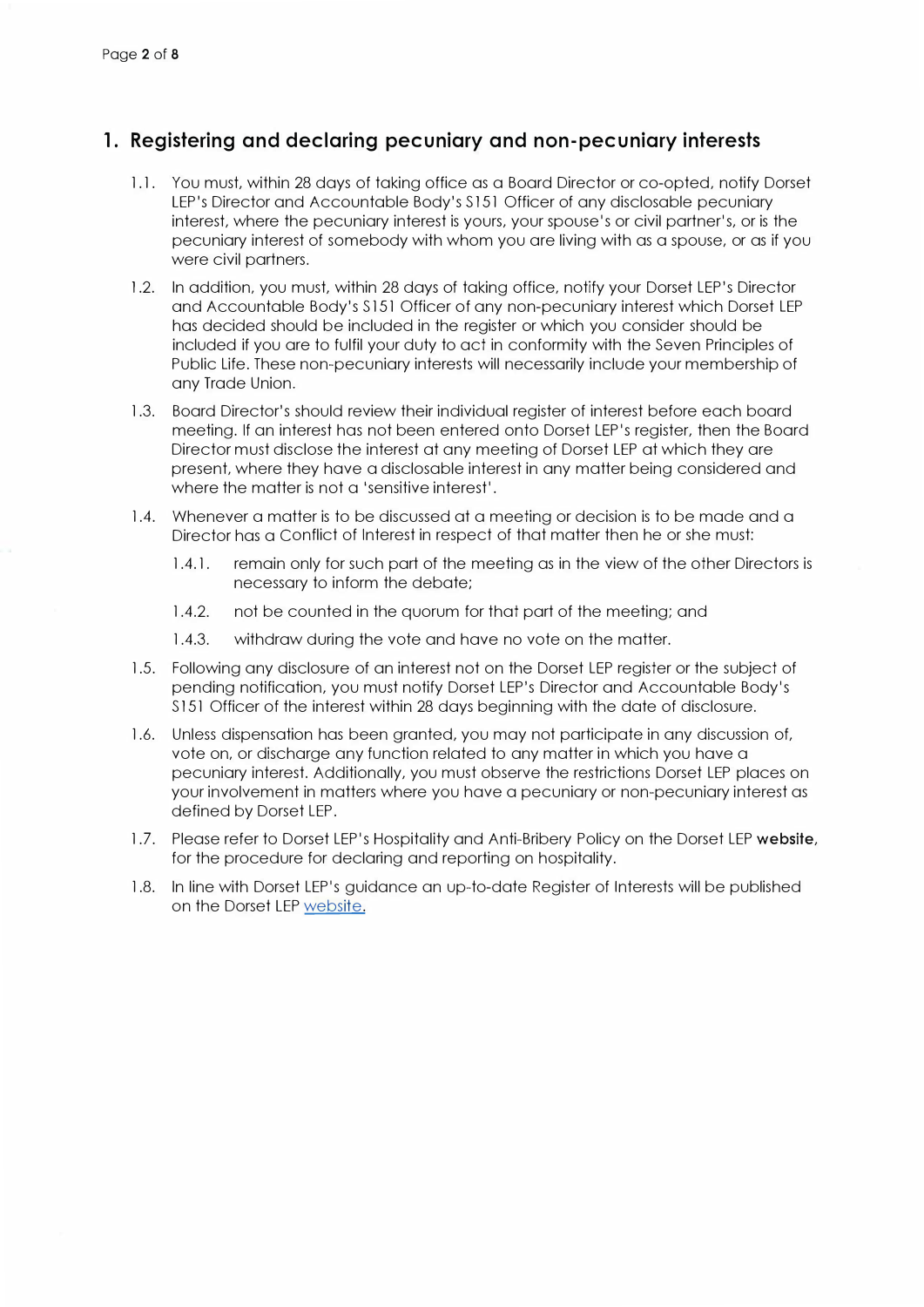### **1. Registering and declaring pecuniary and non-pecuniary interests**

- 1.1. You must, within 28 days of taking office as a Board Director or co-opted, notify Dorset LEP's Director and Accountable Body's S151 Officer of any disclosable pecuniary interest, where the pecuniary interest is yours, your spouse's or civil partner's, or is the pecuniary interest of somebody with whom you are living with as a spouse, or as if you were civil partners.
- 1.2. In addition, you must, within 28 days of taking office, notify your Dorset LEP's Director and Accountable Body's S 151 Officer of any non-pecuniary interest which Dorset LEP has decided should be included in the register or which you consider should be included if you are to fulfil your duty to act in conformity with the Seven Principles of Public Life. These non-pecuniary interests will necessarily include your membership of any Trade Union.
- 1.3. Board Director's should review their individual register of interest before each board meeting. If an interest has not been entered onto Dorset LEP's register, then the Board Director must disclose the interest at any meeting of Dorset LEP at which they are present, where they have a disclosable interest in any matter being considered and where the matter is not a 'sensitive interest'.
- 1.4. Whenever a matter is to be discussed at a meeting or decision is to be made and a Director has a Conflict of Interest in respect of that matter then he or she must:
	- 1.4.1. remain only for such part of the meeting as in the view of the other Directors is necessary to inform the debate;
	- 1.4.2. not be counted in the quorum for that part of the meeting; and
	- 1.4.3. withdraw during the vote and have no vote on the matter.
- 1.5. Following any disclosure of an interest not on the Dorset LEP register or the subject of pending notification, you must notify Dorset LEP's Director and Accountable Body's S 151 Officer of the interest within 28 days beginning with the date of disclosure.
- 1 .6. Unless dispensation has been granted, you may not participate in any discussion of, vote on, or discharge any function related to any matter in which you have a pecuniary interest. Additionally, you must observe the restrictions Dorset LEP places on your involvement in matters where you have a pecuniary or non-pecuniary interest as defined by Dorset LEP.
- 1.7. Please refer to Dorset LEP's Hospitality and Anti-Bribery Policy on the Dorset LEP website, for the procedure for declaring and reporting on hospitality.
- 1.8. In line with Dorset LEP's guidance an up-to-date Register of Interests will be published on the Dorset LEP website.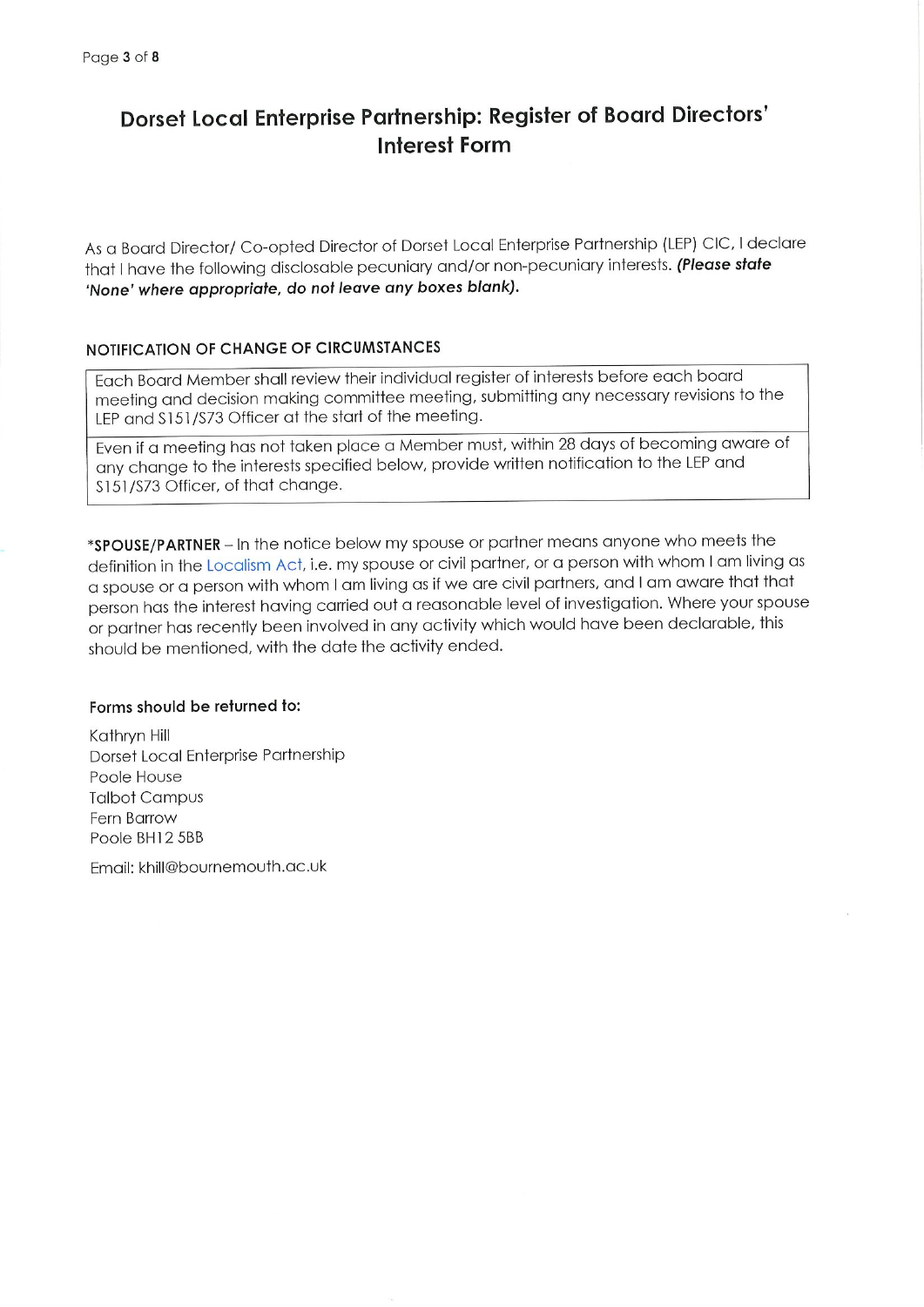## Dorset Local Enterprise Partnership: Register of Board Directors' **Interest Form**

As a Board Director/ Co-opted Director of Dorset Local Enterprise Partnership (LEP) CIC, I declare that I have the following disclosable pecuniary and/or non-pecuniary interests. (Please state 'None' where appropriate, do not leave any boxes blank).

#### NOTIFICATION OF CHANGE OF CIRCUMSTANCES

Each Board Member shall review their individual register of interests before each board meeting and decision making committee meeting, submitting any necessary revisions to the LEP and \$151/\$73 Officer at the start of the meeting.

Even if a meeting has not taken place a Member must, within 28 days of becoming aware of any change to the interests specified below, provide written notification to the LEP and \$151/\$73 Officer, of that change.

\*SPOUSE/PARTNER - In the notice below my spouse or partner means anyone who meets the definition in the Localism Act, i.e. my spouse or civil partner, or a person with whom I am living as a spouse or a person with whom I am living as if we are civil partners, and I am aware that that person has the interest having carried out a reasonable level of investigation. Where your spouse or partner has recently been involved in any activity which would have been declarable, this should be mentioned, with the date the activity ended.

#### Forms should be returned to:

Kathryn Hill Dorset Local Enterprise Partnership Poole House **Talbot Campus** Fern Barrow Poole BH12 5BB

Fmail: khill@bournemouth.ac.uk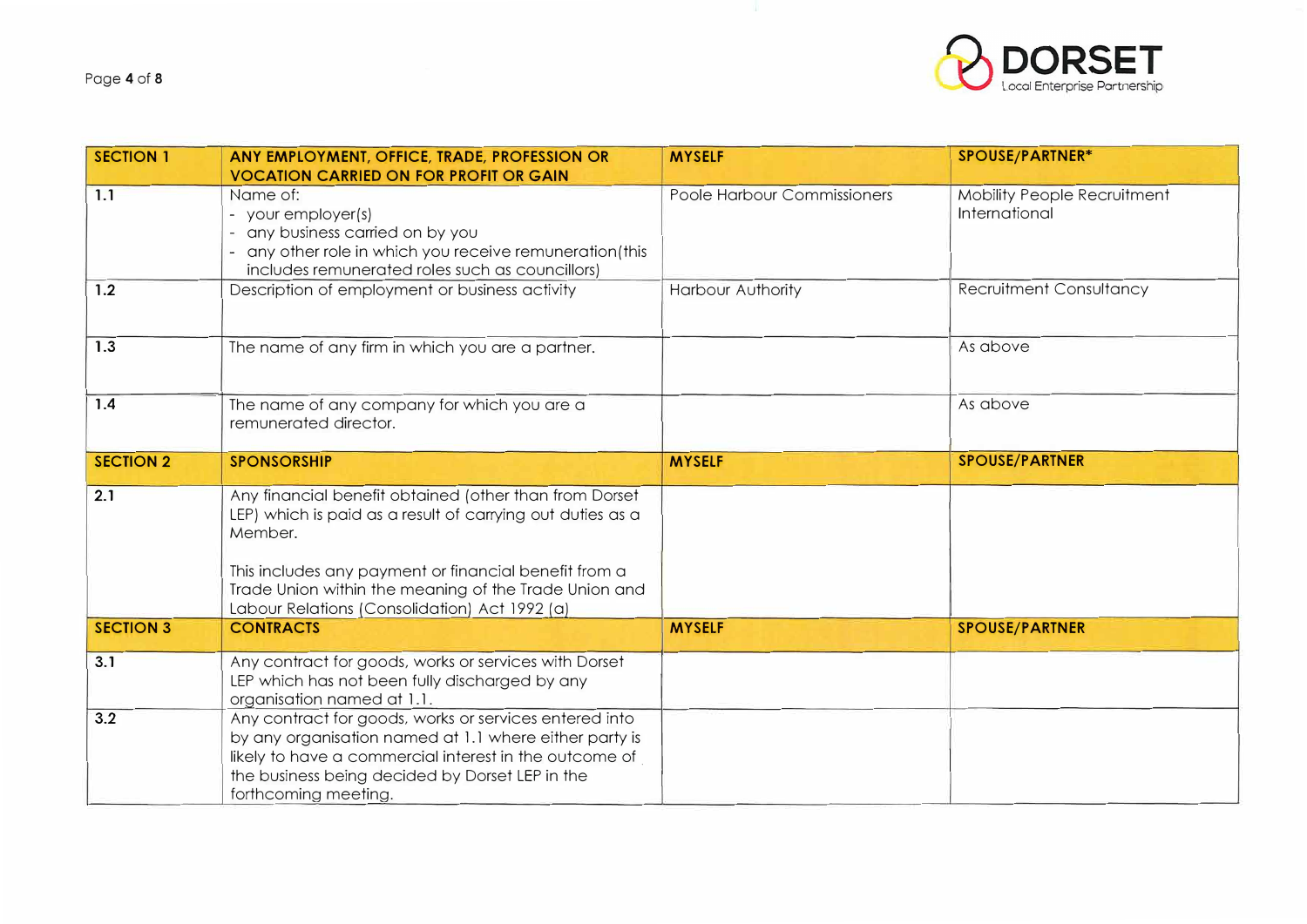

| <b>SECTION 1</b> | ANY EMPLOYMENT, OFFICE, TRADE, PROFESSION OR<br><b>VOCATION CARRIED ON FOR PROFIT OR GAIN</b>                                                                                                                                                                                                      | <b>MYSELF</b>               | SPOUSE/PARTNER*                                     |
|------------------|----------------------------------------------------------------------------------------------------------------------------------------------------------------------------------------------------------------------------------------------------------------------------------------------------|-----------------------------|-----------------------------------------------------|
| 1.1              | Name of:<br>- your employer(s)<br>- any business carried on by you<br>- any other role in which you receive remuneration(this<br>includes remunerated roles such as councillors)                                                                                                                   | Poole Harbour Commissioners | <b>Mobility People Recruitment</b><br>International |
| 1.2              | Description of employment or business activity                                                                                                                                                                                                                                                     | Harbour Authority           | Recruitment Consultancy                             |
| 1.3              | The name of any firm in which you are a partner.                                                                                                                                                                                                                                                   |                             | As above                                            |
| 1.4              | The name of any company for which you are a<br>remunerated director.                                                                                                                                                                                                                               |                             | As above                                            |
| <b>SECTION 2</b> | <b>SPONSORSHIP</b>                                                                                                                                                                                                                                                                                 | <b>MYSELF</b>               | <b>SPOUSE/PARTNER</b>                               |
| 2.1              | Any financial benefit obtained (other than from Dorset<br>LEP) which is paid as a result of carrying out duties as a<br>Member.<br>This includes any payment or financial benefit from a<br>Trade Union within the meaning of the Trade Union and<br>Labour Relations (Consolidation) Act 1992 (a) |                             |                                                     |
| <b>SECTION 3</b> | <b>CONTRACTS</b>                                                                                                                                                                                                                                                                                   | <b>MYSELF</b>               | <b>SPOUSE/PARTNER</b>                               |
| 3.1              | Any contract for goods, works or services with Dorset<br>LEP which has not been fully discharged by any<br>organisation named at 1.1.                                                                                                                                                              |                             |                                                     |
| 3.2              | Any contract for goods, works or services entered into<br>by any organisation named at 1.1 where either party is<br>likely to have a commercial interest in the outcome of<br>the business being decided by Dorset LEP in the<br>forthcoming meeting.                                              |                             |                                                     |

 $\mathcal{A}$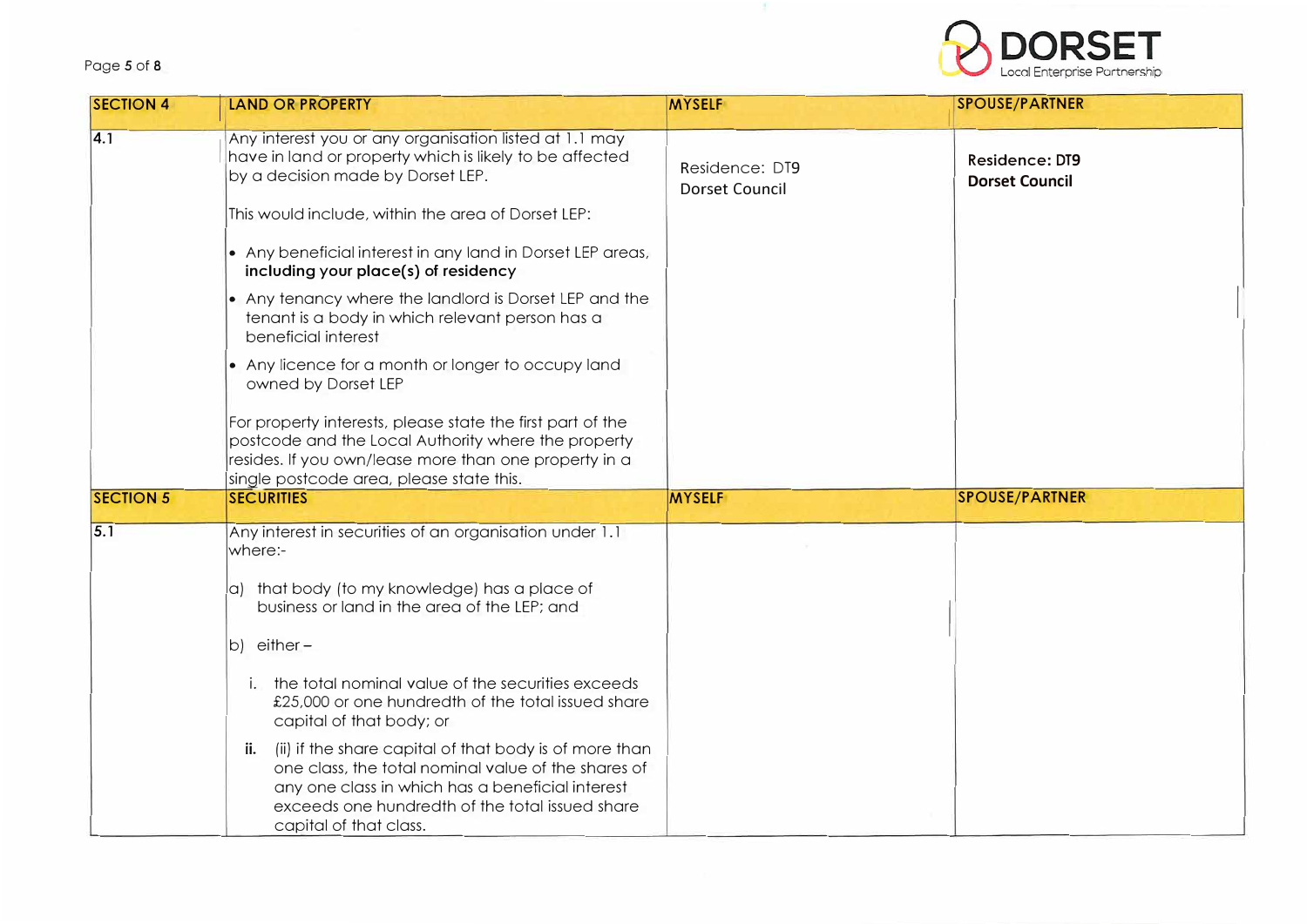#### Page *5* of 8



| <b>SECTION 4</b> | <b>LAND OR PROPERTY</b>                                                                                                                                                                                                                               | <b>MYSELF</b>                           | <b>SPOUSE/PARTNER</b>                          |
|------------------|-------------------------------------------------------------------------------------------------------------------------------------------------------------------------------------------------------------------------------------------------------|-----------------------------------------|------------------------------------------------|
| $\overline{4.1}$ | Any interest you or any organisation listed at 1.1 may<br>have in land or property which is likely to be affected<br>by a decision made by Dorset LEP.<br>This would include, within the area of Dorset LEP:                                          | Residence: DT9<br><b>Dorset Council</b> | <b>Residence: DT9</b><br><b>Dorset Council</b> |
|                  | • Any beneficial interest in any land in Dorset LEP areas,<br>including your place(s) of residency                                                                                                                                                    |                                         |                                                |
|                  | • Any tenancy where the landlord is Dorset LEP and the<br>tenant is a body in which relevant person has a<br>beneficial interest                                                                                                                      |                                         |                                                |
|                  | • Any licence for a month or longer to occupy land<br>owned by Dorset LEP                                                                                                                                                                             |                                         |                                                |
|                  | For property interests, please state the first part of the<br>postcode and the Local Authority where the property<br>resides. If you own/lease more than one property in a<br>single postcode area, please state this.                                |                                         |                                                |
| <b>SECTION 5</b> | <b>SECURITIES</b>                                                                                                                                                                                                                                     | <b>MYSELF</b>                           | <b>SPOUSE/PARTNER</b>                          |
| 5.1              | Any interest in securities of an organisation under 1.1<br>where:-                                                                                                                                                                                    |                                         |                                                |
|                  | a) that body (to my knowledge) has a place of<br>business or land in the area of the LEP; and                                                                                                                                                         |                                         |                                                |
|                  | b) either-                                                                                                                                                                                                                                            |                                         |                                                |
|                  | i. the total nominal value of the securities exceeds<br>£25,000 or one hundredth of the total issued share<br>capital of that body; or                                                                                                                |                                         |                                                |
|                  | (ii) if the share capital of that body is of more than<br>ii.<br>one class, the total nominal value of the shares of<br>any one class in which has a beneficial interest<br>exceeds one hundredth of the total issued share<br>capital of that class. |                                         |                                                |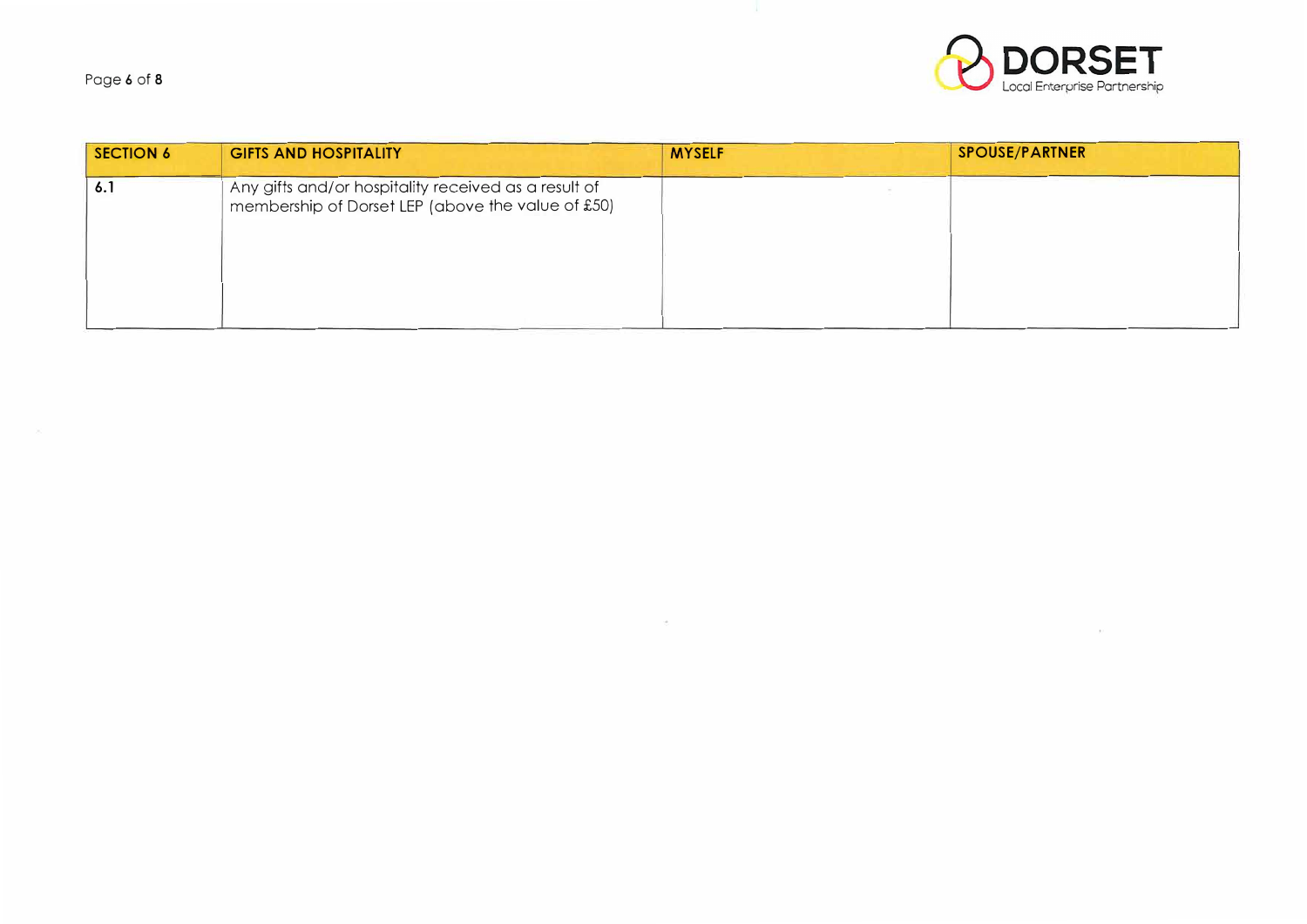Page 6 of 8



| <b>SECTION 6</b> | <b>GIFTS AND HOSPITALITY</b>                                                                              | <b>MYSELF</b> | <b>SPOUSE/PARTNER</b> |
|------------------|-----------------------------------------------------------------------------------------------------------|---------------|-----------------------|
| 6.1              | Any gifts and/or hospitality received as a result of<br>membership of Dorset LEP (above the value of £50) |               |                       |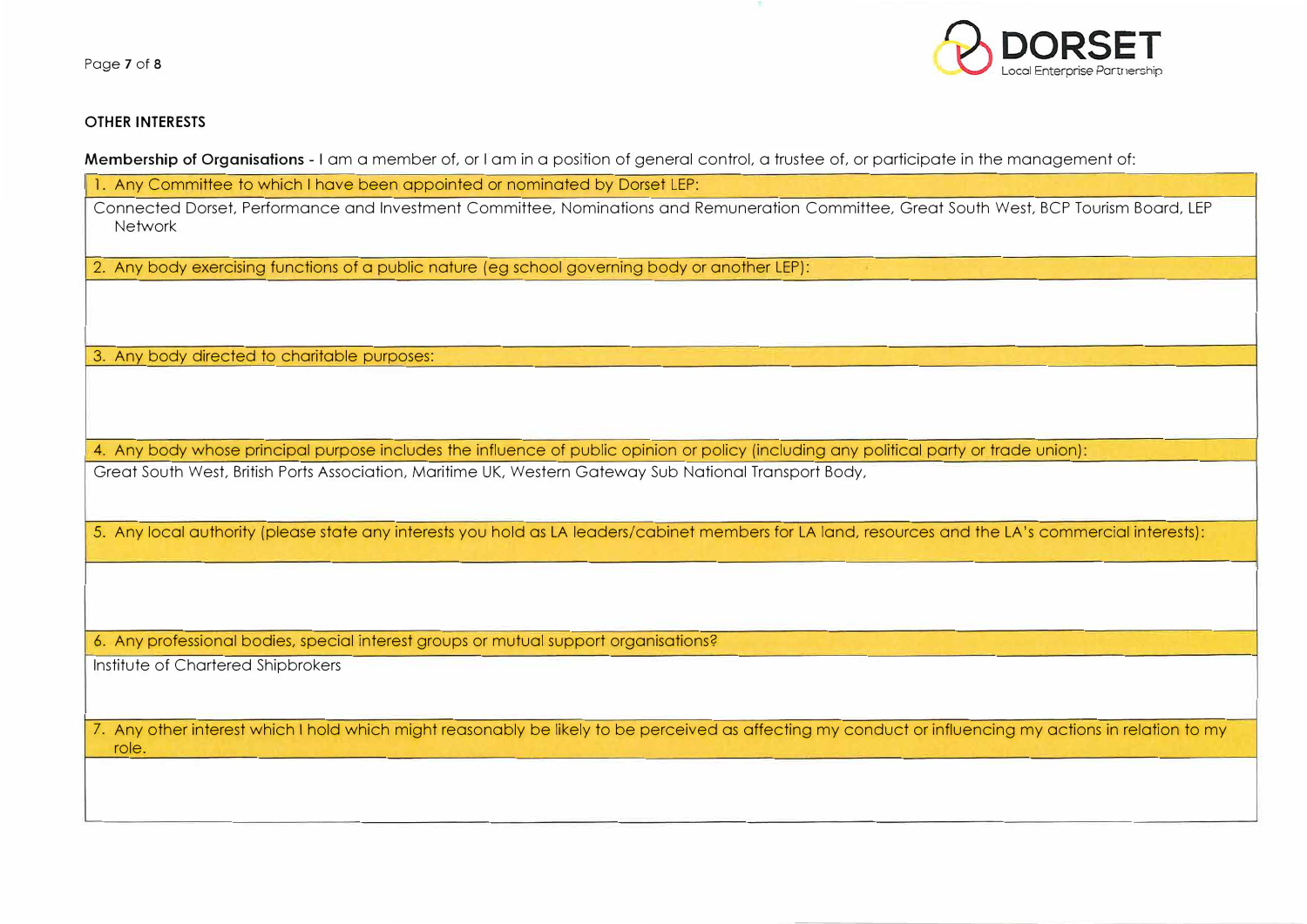Page 7 of 8



#### **OTHER INTERESTS**

**Membership of Organisations** - I am a member of, or I am in a position of general control, a trustee of, or participate in the management of:

l. Any Committee to which I have been appointed or nominated by Dorset LEP:

Connected Dorset, Performance and Investment Committee, Nominations and Remuneration Committee, Great South West, BCP Tourism Board, LEP **Network** 

2. Any body exercising functions of a public nature (eg school governing body or another LEP):

3. Any body directed to charitable purooses:

4. Any body whose principal purpose includes the influence of public opinion or policy (including any political party or trade union): Great South West, British Ports Association, Maritime UK, Western Gateway Sub National Transport Body,

5. Any local authority (please state any interests you hold as LA leaders/cabinet members for LA land, resources and the LA's commercial interests):

6. Any professional bodies, special interest groups or mutual support organisations?

Institute of Chartered Shipbrokers

7. Any other interest which I hold which might reasonably be likely to be perceived as affecting my conduct or influencing my actions in relation to my role.